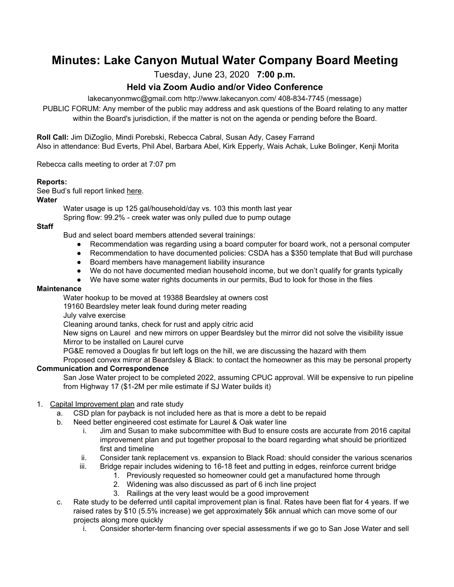# **Minutes: Lake Canyon Mutual Water Company Board Meeting**

Tuesday, June 23, 2020 **7:00 p.m.**

# **Held via Zoom Audio and/or Video Conference**

lakecanyonmwc@gmail.com http://www.lakecanyon.com/ 408-834-7745 (message)

PUBLIC FORUM: Any member of the public may address and ask questions of the Board relating to any matter within the Board's jurisdiction, if the matter is not on the agenda or pending before the Board.

**Roll Call:** Jim DiZoglio, Mindi Porebski, Rebecca Cabral, Susan Ady, Casey Farrand Also in attendance: Bud Everts, Phil Abel, Barbara Abel, Kirk Epperly, Wais Achak, Luke Bolinger, Kenji Morita

Rebecca calls meeting to order at 7:07 pm

## **Reports:**

See Bud's full report linked [here](https://7e761103-1889-4c62-a205-c99a02daa857.usrfiles.com/ugd/7e7611_63bf87665e4a4b419cfdd8c1230b3c76.pdf).

#### **Water**

Water usage is up 125 gal/household/day vs. 103 this month last year Spring flow: 99.2% - creek water was only pulled due to pump outage

#### **Staff**

Bud and select board members attended several trainings:

- Recommendation was regarding using a board computer for board work, not a personal computer
- Recommendation to have documented policies: CSDA has a \$350 template that Bud will purchase
- Board members have management liability insurance
- We do not have documented median household income, but we don't qualify for grants typically
- We have some water rights documents in our permits, Bud to look for those in the files

#### **Maintenance**

Water hookup to be moved at 19388 Beardsley at owners cost

19160 Beardsley meter leak found during meter reading

July valve exercise

Cleaning around tanks, check for rust and apply citric acid

New signs on Laurel and new mirrors on upper Beardsley but the mirror did not solve the visibility issue Mirror to be installed on Laurel curve

PG&E removed a Douglas fir but left logs on the hill, we are discussing the hazard with them

Proposed convex mirror at Beardsley & Black: to contact the homeowner as this may be personal property **Communication and Correspondence**

San Jose Water project to be completed 2022, assuming CPUC approval. Will be expensive to run pipeline from Highway 17 (\$1-2M per mile estimate if SJ Water builds it)

## 1. Capital [Improvement](https://7e761103-1889-4c62-a205-c99a02daa857.usrfiles.com/ugd/7e7611_e6bbda1006a74c0da70debb274eab30b.pdf) plan and rate study

- a. CSD plan for payback is not included here as that is more a debt to be repaid
- b. Need better engineered cost estimate for Laurel & Oak water line
	- i. Jim and Susan to make subcommittee with Bud to ensure costs are accurate from 2016 capital improvement plan and put together proposal to the board regarding what should be prioritized first and timeline
	- ii. Consider tank replacement vs. expansion to Black Road: should consider the various scenarios
	- iii. Bridge repair includes widening to 16-18 feet and putting in edges, reinforce current bridge
		- 1. Previously requested so homeowner could get a manufactured home through
			- 2. Widening was also discussed as part of 6 inch line project
			- 3. Railings at the very least would be a good improvement
- c. Rate study to be deferred until capital improvement plan is final. Rates have been flat for 4 years. If we raised rates by \$10 (5.5% increase) we get approximately \$6k annual which can move some of our projects along more quickly
	- i. Consider shorter-term financing over special assessments if we go to San Jose Water and sell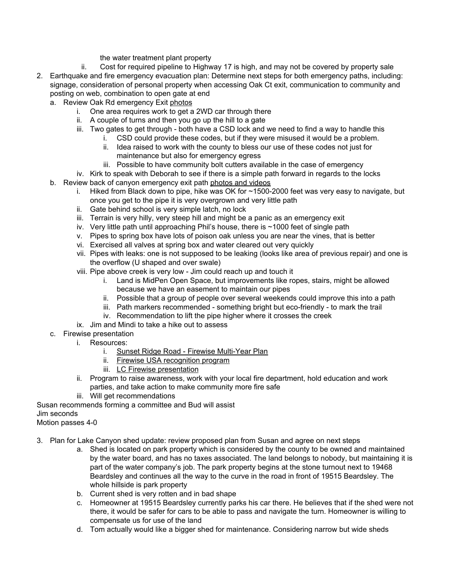the water treatment plant property

- ii. Cost for required pipeline to Highway 17 is high, and may not be covered by property sale
- 2. Earthquake and fire emergency evacuation plan: Determine next steps for both emergency paths, including: signage, consideration of personal property when accessing Oak Ct exit, communication to community and posting on web, combination to open gate at end
	- a. Review Oak Rd emergency Exit [photos](https://photos.app.goo.gl/7sjmaNXtf419YeKbA)
		- i. One area requires work to get a 2WD car through there
		- ii. A couple of turns and then you go up the hill to a gate
		- iii. Two gates to get through both have a CSD lock and we need to find a way to handle this
			- i. CSD could provide these codes, but if they were misused it would be a problem.
			- ii. Idea raised to work with the county to bless our use of these codes not just for maintenance but also for emergency egress
			- iii. Possible to have community bolt cutters available in the case of emergency
		- iv. Kirk to speak with Deborah to see if there is a simple path forward in regards to the locks
	- b. Review back of canyon emergency exit path [photos](https://photos.app.goo.gl/j2gk94wDXtMMEFE19) and videos
		- i. Hiked from Black down to pipe, hike was OK for ~1500-2000 feet was very easy to navigate, but once you get to the pipe it is very overgrown and very little path
		- ii. Gate behind school is very simple latch, no lock
		- iii. Terrain is very hilly, very steep hill and might be a panic as an emergency exit
		- iv. Very little path until approaching Phil's house, there is ~1000 feet of single path
		- v. Pipes to spring box have lots of poison oak unless you are near the vines, that is better
		- vi. Exercised all valves at spring box and water cleared out very quickly
		- vii. Pipes with leaks: one is not supposed to be leaking (looks like area of previous repair) and one is the overflow (U shaped and over swale)
		- viii. Pipe above creek is very low Jim could reach up and touch it
			- i. Land is MidPen Open Space, but improvements like ropes, stairs, might be allowed because we have an easement to maintain our pipes
			- ii. Possible that a group of people over several weekends could improve this into a path
			- iii. Path markers recommended something bright but eco-friendly to mark the trail
			- iv. Recommendation to lift the pipe higher where it crosses the creek
		- ix. Jim and Mindi to take a hike out to assess
	- c. Firewise presentation
		- i. Resources:
			- i. Sunset Ridge Road Firewise [Multi-Year](https://7e761103-1889-4c62-a205-c99a02daa857.usrfiles.com/ugd/7e7611_f135fe58800f4bd0803063c59561baab.pdf) Plan
			- ii. Firewise USA [recognition](https://7e761103-1889-4c62-a205-c99a02daa857.usrfiles.com/ugd/7e7611_81f0115b1bbf417580e14ad223f2afcc.pdf) program
			- iii. LC Firewise [presentation](https://7e761103-1889-4c62-a205-c99a02daa857.usrfiles.com/ugd/7e7611_3ebec7e9eeb3490d80b00919cd0ac48e.pptx)
		- ii. Program to raise awareness, work with your local fire department, hold education and work parties, and take action to make community more fire safe
		- iii. Will get recommendations

Susan recommends forming a committee and Bud will assist

Jim seconds

Motion passes 4-0

3. Plan for Lake Canyon shed update: review proposed plan from Susan and agree on next steps

- a. Shed is located on park property which is considered by the county to be owned and maintained by the water board, and has no taxes associated. The land belongs to nobody, but maintaining it is part of the water company's job. The park property begins at the stone turnout next to 19468 Beardsley and continues all the way to the curve in the road in front of 19515 Beardsley. The whole hillside is park property
- b. Current shed is very rotten and in bad shape
- c. Homeowner at 19515 Beardsley currently parks his car there. He believes that if the shed were not there, it would be safer for cars to be able to pass and navigate the turn. Homeowner is willing to compensate us for use of the land
- d. Tom actually would like a bigger shed for maintenance. Considering narrow but wide sheds